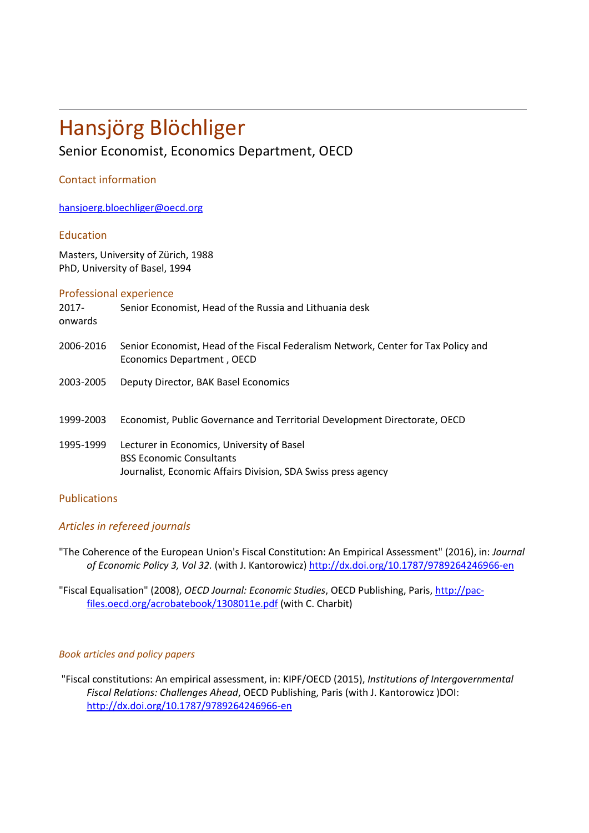# Hansjörg Blöchliger Senior Economist, Economics Department, OECD

## Contact information

[hansjoerg.](mailto:annabelle.mourougane@oecd.org)bloechliger@oecd.org

## Education

Masters, University of Zürich, 1988 PhD, University of Basel, 1994

| Senior Economist, Head of the Russia and Lithuania desk<br>$2017 -$<br>onwards<br>2006-2016<br>Economics Department, OECD<br>2003-2005<br>Deputy Director, BAK Basel Economics<br>Economist, Public Governance and Territorial Development Directorate, OECD<br>1999-2003<br>1995-1999<br>Lecturer in Economics, University of Basel<br><b>BSS Economic Consultants</b><br>Journalist, Economic Affairs Division, SDA Swiss press agency | Professional experience |                                                                                    |
|------------------------------------------------------------------------------------------------------------------------------------------------------------------------------------------------------------------------------------------------------------------------------------------------------------------------------------------------------------------------------------------------------------------------------------------|-------------------------|------------------------------------------------------------------------------------|
|                                                                                                                                                                                                                                                                                                                                                                                                                                          |                         |                                                                                    |
|                                                                                                                                                                                                                                                                                                                                                                                                                                          |                         | Senior Economist, Head of the Fiscal Federalism Network, Center for Tax Policy and |
|                                                                                                                                                                                                                                                                                                                                                                                                                                          |                         |                                                                                    |
|                                                                                                                                                                                                                                                                                                                                                                                                                                          |                         |                                                                                    |
|                                                                                                                                                                                                                                                                                                                                                                                                                                          |                         |                                                                                    |

### Publications

## *Articles in refereed journals*

"The Coherence of the European Union's Fiscal Constitution: An Empirical Assessment" (2016), in: *Journal of Economic Policy 3, Vol 32.* (with J. Kantorowicz) <http://dx.doi.org/10.1787/9789264246966-en>

"Fiscal Equalisation" (2008), *OECD Journal: Economic Studies*, OECD Publishing, Paris, [http://pac](http://pac-files.oecd.org/acrobatebook/1308011e.pdf)[files.oecd.org/acrobatebook/1308011e.pdf](http://pac-files.oecd.org/acrobatebook/1308011e.pdf) (with C. Charbit)

### *Book articles and policy papers*

"Fiscal constitutions: An empirical assessment, in: KIPF/OECD (2015), *Institutions of Intergovernmental Fiscal Relations: Challenges Ahead*, OECD Publishing, Paris (with J. Kantorowicz )DOI: <http://dx.doi.org/10.1787/9789264246966-en>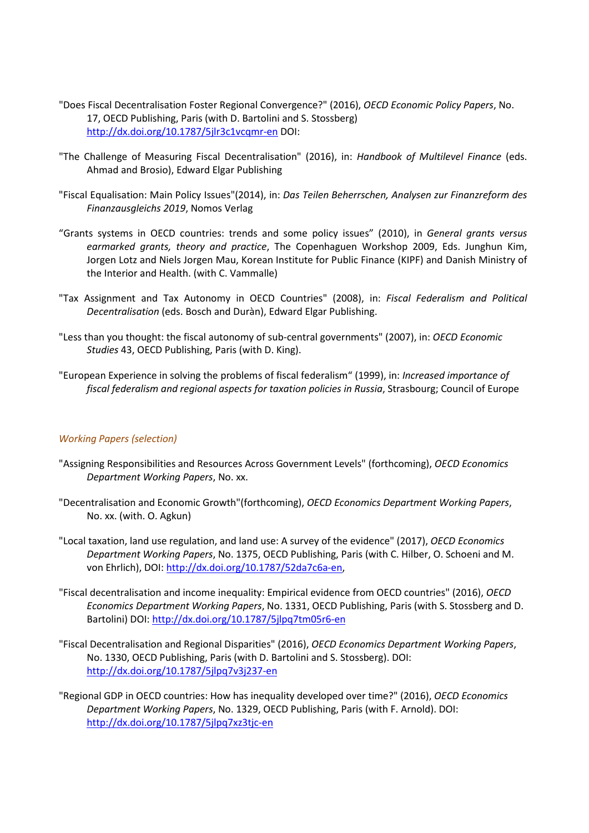- "Does Fiscal Decentralisation Foster Regional Convergence?" (2016), *OECD Economic Policy Papers*, No. 17, OECD Publishing, Paris (with D. Bartolini and S. Stossberg) <http://dx.doi.org/10.1787/5jlr3c1vcqmr-en> DOI:
- "The Challenge of Measuring Fiscal Decentralisation" (2016), in: *Handbook of Multilevel Finance* (eds. Ahmad and Brosio), Edward Elgar Publishing
- "Fiscal Equalisation: Main Policy Issues"(2014), in: *Das Teilen Beherrschen, Analysen zur Finanzreform des Finanzausgleichs 2019*, Nomos Verlag
- "Grants systems in OECD countries: trends and some policy issues" (2010), in *General grants versus earmarked grants, theory and practice*, The Copenhaguen Workshop 2009, Eds. Junghun Kim, Jorgen Lotz and Niels Jorgen Mau, Korean Institute for Public Finance (KIPF) and Danish Ministry of the Interior and Health. (with C. Vammalle)
- "Tax Assignment and Tax Autonomy in OECD Countries" (2008), in: *Fiscal Federalism and Political Decentralisation* (eds. Bosch and Duràn), Edward Elgar Publishing.
- "Less than you thought: the fiscal autonomy of sub-central governments" (2007), in: *OECD Economic Studies* 43, OECD Publishing, Paris (with D. King).
- "European Experience in solving the problems of fiscal federalism" (1999), in: *Increased importance of fiscal federalism and regional aspects for taxation policies in Russia*, Strasbourg; Council of Europe

### *Working Papers (selection)*

- "Assigning Responsibilities and Resources Across Government Levels" (forthcoming), *OECD Economics Department Working Papers*, No. xx.
- "Decentralisation and Economic Growth"(forthcoming), *OECD Economics Department Working Papers*, No. xx. (with. O. Agkun)
- "Local taxation, land use regulation, and land use: A survey of the evidence" (2017), *OECD Economics Department Working Papers*, No. 1375, OECD Publishing, Paris (with C. Hilber, O. Schoeni and M. von Ehrlich), DOI: [http://dx.doi.org/10.1787/52da7c6a-en,](http://dx.doi.org/10.1787/52da7c6a-en)
- "Fiscal decentralisation and income inequality: Empirical evidence from OECD countries" (2016), *OECD Economics Department Working Papers*, No. 1331, OECD Publishing, Paris (with S. Stossberg and D. Bartolini) DOI:<http://dx.doi.org/10.1787/5jlpq7tm05r6-en>
- "Fiscal Decentralisation and Regional Disparities" (2016), *OECD Economics Department Working Papers*, No. 1330, OECD Publishing, Paris (with D. Bartolini and S. Stossberg). DOI: <http://dx.doi.org/10.1787/5jlpq7v3j237-en>
- "Regional GDP in OECD countries: How has inequality developed over time?" (2016), *OECD Economics Department Working Papers*, No. 1329, OECD Publishing, Paris (with F. Arnold). DOI: <http://dx.doi.org/10.1787/5jlpq7xz3tjc-en>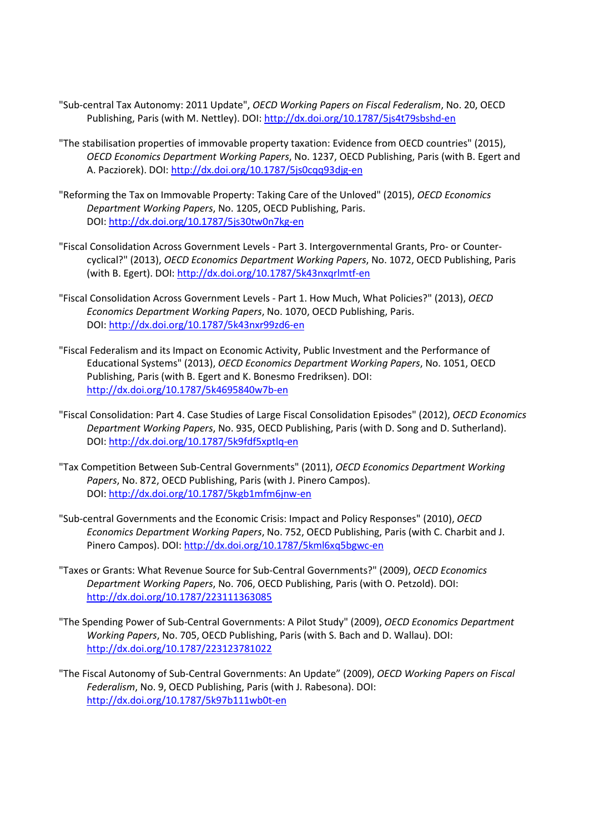- "Sub-central Tax Autonomy: 2011 Update", *OECD Working Papers on Fiscal Federalism*, No. 20, OECD Publishing, Paris (with M. Nettley). DOI:<http://dx.doi.org/10.1787/5js4t79sbshd-en>
- "The stabilisation properties of immovable property taxation: Evidence from OECD countries" (2015), *OECD Economics Department Working Papers*, No. 1237, OECD Publishing, Paris (with B. Egert and A. Pacziorek). DOI:<http://dx.doi.org/10.1787/5js0cqq93djg-en>
- "Reforming the Tax on Immovable Property: Taking Care of the Unloved" (2015), *OECD Economics Department Working Papers*, No. 1205, OECD Publishing, Paris. DOI:<http://dx.doi.org/10.1787/5js30tw0n7kg-en>
- "Fiscal Consolidation Across Government Levels Part 3. Intergovernmental Grants, Pro- or Countercyclical?" (2013), *OECD Economics Department Working Papers*, No. 1072, OECD Publishing, Paris (with B. Egert). DOI:<http://dx.doi.org/10.1787/5k43nxqrlmtf-en>
- "Fiscal Consolidation Across Government Levels Part 1. How Much, What Policies?" (2013), *OECD Economics Department Working Papers*, No. 1070, OECD Publishing, Paris. DOI:<http://dx.doi.org/10.1787/5k43nxr99zd6-en>
- "Fiscal Federalism and its Impact on Economic Activity, Public Investment and the Performance of Educational Systems" (2013), *OECD Economics Department Working Papers*, No. 1051, OECD Publishing, Paris (with B. Egert and K. Bonesmo Fredriksen). DOI: <http://dx.doi.org/10.1787/5k4695840w7b-en>
- "Fiscal Consolidation: Part 4. Case Studies of Large Fiscal Consolidation Episodes" (2012), *OECD Economics Department Working Papers*, No. 935, OECD Publishing, Paris (with D. Song and D. Sutherland). DOI:<http://dx.doi.org/10.1787/5k9fdf5xptlq-en>
- "Tax Competition Between Sub-Central Governments" (2011), *OECD Economics Department Working Papers*, No. 872, OECD Publishing, Paris (with J. Pinero Campos). DOI:<http://dx.doi.org/10.1787/5kgb1mfm6jnw-en>
- "Sub-central Governments and the Economic Crisis: Impact and Policy Responses" (2010), *OECD Economics Department Working Papers*, No. 752, OECD Publishing, Paris (with C. Charbit and J. Pinero Campos). DOI:<http://dx.doi.org/10.1787/5kml6xq5bgwc-en>
- "Taxes or Grants: What Revenue Source for Sub-Central Governments?" (2009), *OECD Economics Department Working Papers*, No. 706, OECD Publishing, Paris (with O. Petzold). DOI: <http://dx.doi.org/10.1787/223111363085>
- "The Spending Power of Sub-Central Governments: A Pilot Study" (2009), *OECD Economics Department Working Papers*, No. 705, OECD Publishing, Paris (with S. Bach and D. Wallau). DOI: <http://dx.doi.org/10.1787/223123781022>
- "The Fiscal Autonomy of Sub-Central Governments: An Update" (2009), *OECD Working Papers on Fiscal Federalism*, No. 9, OECD Publishing, Paris (with J. Rabesona). DOI: <http://dx.doi.org/10.1787/5k97b111wb0t-en>